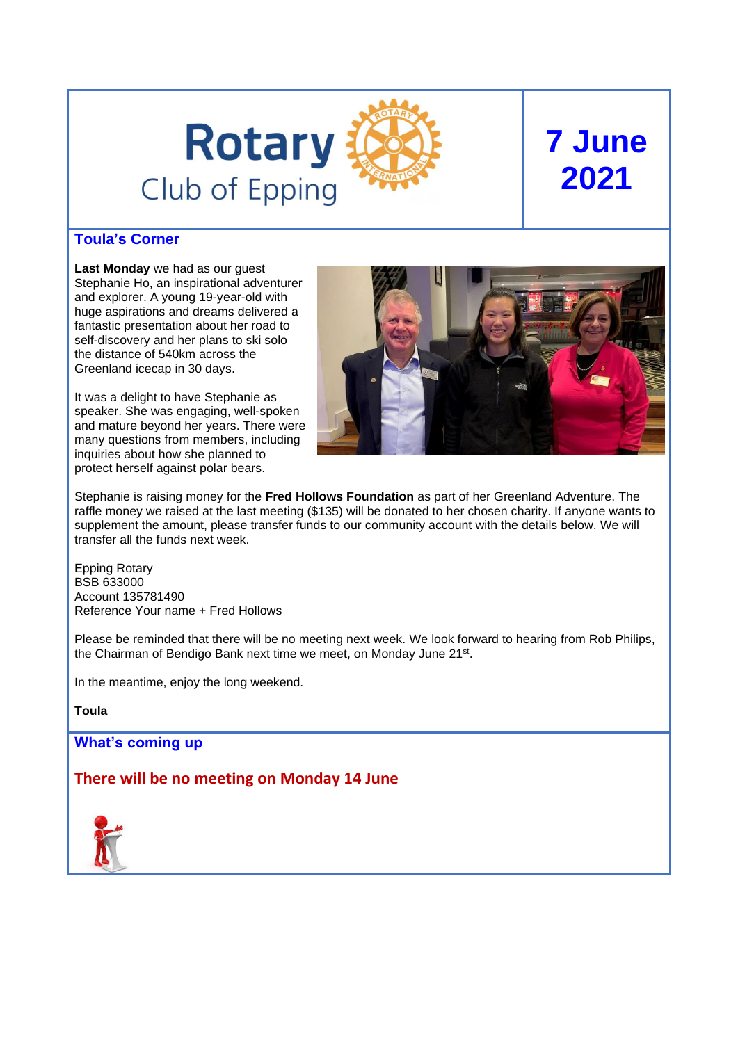

# **7 June 2021**

## **Toula's Corner**

**Last Monday** we had as our guest Stephanie Ho, an inspirational adventurer and explorer. A young 19-year-old with huge aspirations and dreams delivered a fantastic presentation about her road to self-discovery and her plans to ski solo the distance of 540km across the Greenland icecap in 30 days.

It was a delight to have Stephanie as speaker. She was engaging, well-spoken and mature beyond her years. There were many questions from members, including inquiries about how she planned to protect herself against polar bears.



Stephanie is raising money for the **Fred Hollows Foundation** as part of her Greenland Adventure. The raffle money we raised at the last meeting (\$135) will be donated to her chosen charity. If anyone wants to supplement the amount, please transfer funds to our community account with the details below. We will transfer all the funds next week.

Epping Rotary BSB 633000 Account 135781490 Reference Your name + Fred Hollows

Please be reminded that there will be no meeting next week. We look forward to hearing from Rob Philips, the Chairman of Bendigo Bank next time we meet, on Monday June 21<sup>st</sup>.

In the meantime, enjoy the long weekend.

**Toula**

**What's coming up**

**There will be no meeting on Monday 14 June**

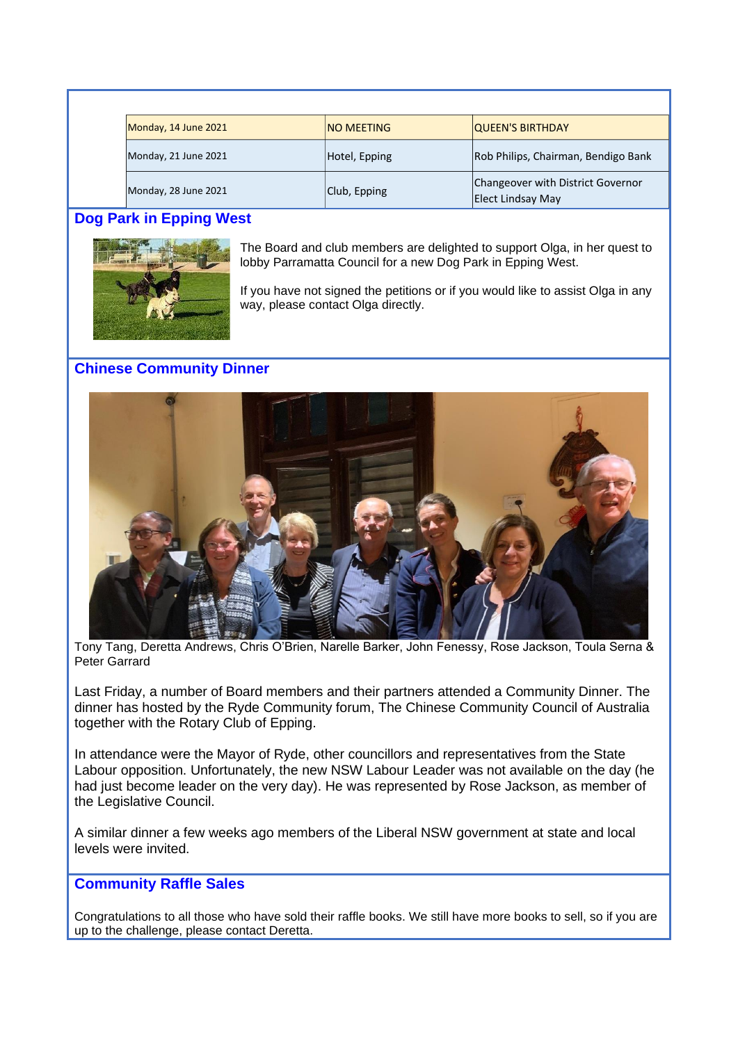| Monday, 14 June 2021 | <b>NO MEETING</b> | <b>QUEEN'S BIRTHDAY</b>                                |
|----------------------|-------------------|--------------------------------------------------------|
| Monday, 21 June 2021 | Hotel, Epping     | Rob Philips, Chairman, Bendigo Bank                    |
| Monday, 28 June 2021 | Club, Epping      | Changeover with District Governor<br>Elect Lindsay May |

# **Dog Park in Epping West**



The Board and club members are delighted to support Olga, in her quest to lobby Parramatta Council for a new Dog Park in Epping West.

If you have not signed the petitions or if you would like to assist Olga in any way, please contact Olga directly.

# **Chinese Community Dinner**



Tony Tang, Deretta Andrews, Chris O'Brien, Narelle Barker, John Fenessy, Rose Jackson, Toula Serna & Peter Garrard

Last Friday, a number of Board members and their partners attended a Community Dinner. The dinner has hosted by the Ryde Community forum, The Chinese Community Council of Australia together with the Rotary Club of Epping.

In attendance were the Mayor of Ryde, other councillors and representatives from the State Labour opposition. Unfortunately, the new NSW Labour Leader was not available on the day (he had just become leader on the very day). He was represented by Rose Jackson, as member of the Legislative Council.

A similar dinner a few weeks ago members of the Liberal NSW government at state and local levels were invited.

## **Community Raffle Sales**

Congratulations to all those who have sold their raffle books. We still have more books to sell, so if you are up to the challenge, please contact Deretta.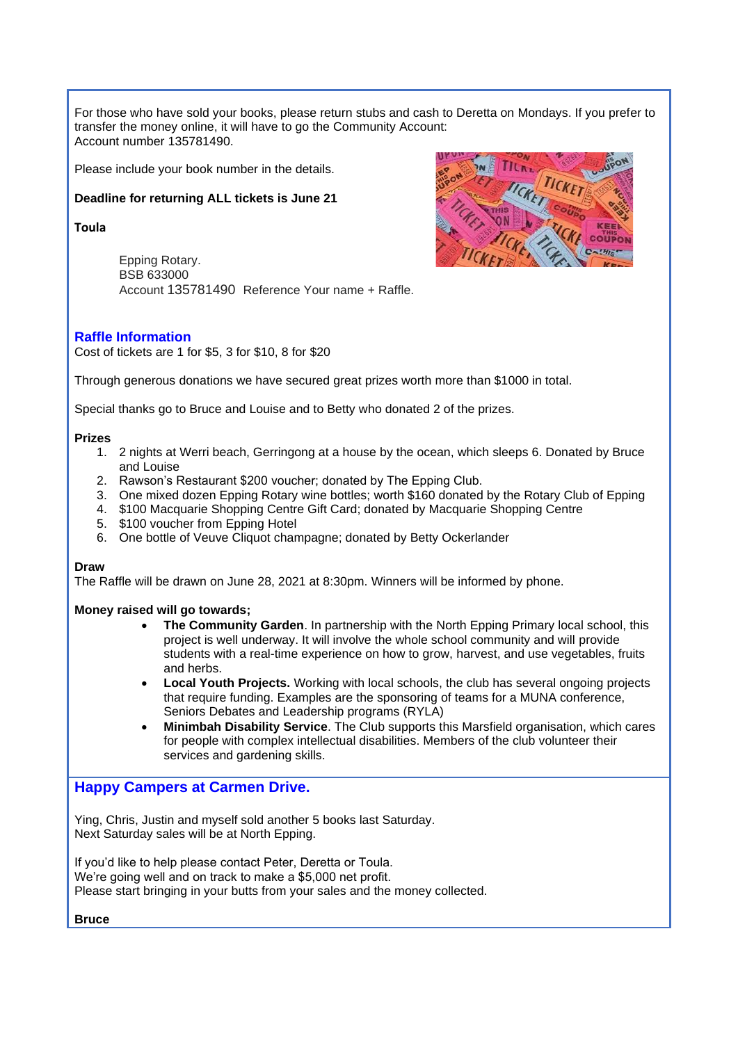For those who have sold your books, please return stubs and cash to Deretta on Mondays. If you prefer to transfer the money online, it will have to go the Community Account: Account number 135781490.

Please include your book number in the details.

#### **Deadline for returning ALL tickets is June 21**

**Toula** 

Epping Rotary. BSB 633000 Account 135781490 Reference Your name + Raffle.



Cost of tickets are 1 for \$5, 3 for \$10, 8 for \$20

Through generous donations we have secured great prizes worth more than \$1000 in total.

Special thanks go to Bruce and Louise and to Betty who donated 2 of the prizes.

#### **Prizes**

- 1. 2 nights at Werri beach, Gerringong at a house by the ocean, which sleeps 6. Donated by Bruce and Louise
- 2. Rawson's Restaurant \$200 voucher; donated by The Epping Club.
- 3. One mixed dozen Epping Rotary wine bottles; worth \$160 donated by the Rotary Club of Epping
- 4. \$100 Macquarie Shopping Centre Gift Card; donated by Macquarie Shopping Centre
- 5. \$100 voucher from Epping Hotel
- 6. One bottle of Veuve Cliquot champagne; donated by Betty Ockerlander

#### **Draw**

The Raffle will be drawn on June 28, 2021 at 8:30pm. Winners will be informed by phone.

#### **Money raised will go towards;**

- **The Community Garden**. In partnership with the North Epping Primary local school, this project is well underway. It will involve the whole school community and will provide students with a real-time experience on how to grow, harvest, and use vegetables, fruits and herbs.
- **Local Youth Projects.** Working with local schools, the club has several ongoing projects that require funding. Examples are the sponsoring of teams for a MUNA conference, Seniors Debates and Leadership programs (RYLA)
- **Minimbah Disability Service**. The Club supports this Marsfield organisation, which cares for people with complex intellectual disabilities. Members of the club volunteer their services and gardening skills.

## **Happy Campers at Carmen Drive.**

Ying, Chris, Justin and myself sold another 5 books last Saturday. Next Saturday sales will be at North Epping.

If you'd like to help please contact Peter, Deretta or Toula. We're going well and on track to make a \$5,000 net profit. Please start bringing in your butts from your sales and the money collected.

**Bruce**

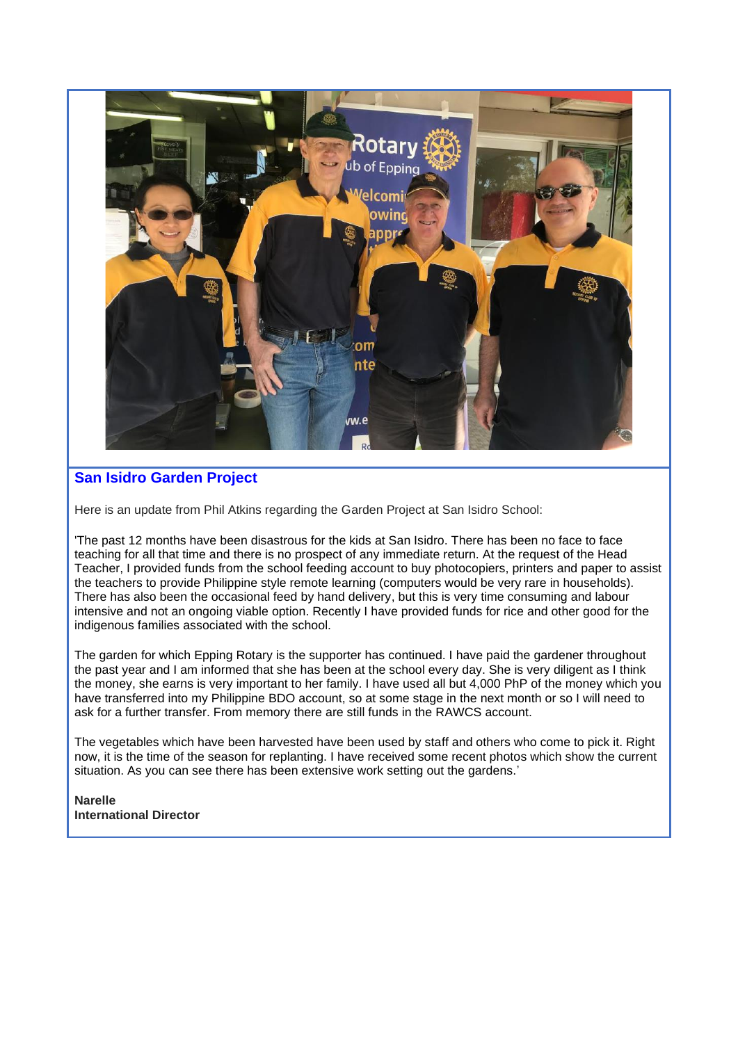

# **San Isidro Garden Project**

Here is an update from Phil Atkins regarding the Garden Project at San Isidro School:

'The past 12 months have been disastrous for the kids at San Isidro. There has been no face to face teaching for all that time and there is no prospect of any immediate return. At the request of the Head Teacher, I provided funds from the school feeding account to buy photocopiers, printers and paper to assist the teachers to provide Philippine style remote learning (computers would be very rare in households). There has also been the occasional feed by hand delivery, but this is very time consuming and labour intensive and not an ongoing viable option. Recently I have provided funds for rice and other good for the indigenous families associated with the school.

The garden for which Epping Rotary is the supporter has continued. I have paid the gardener throughout the past year and I am informed that she has been at the school every day. She is very diligent as I think the money, she earns is very important to her family. I have used all but 4,000 PhP of the money which you have transferred into my Philippine BDO account, so at some stage in the next month or so I will need to ask for a further transfer. From memory there are still funds in the RAWCS account.

The vegetables which have been harvested have been used by staff and others who come to pick it. Right now, it is the time of the season for replanting. I have received some recent photos which show the current situation. As you can see there has been extensive work setting out the gardens.'

**Narelle International Director**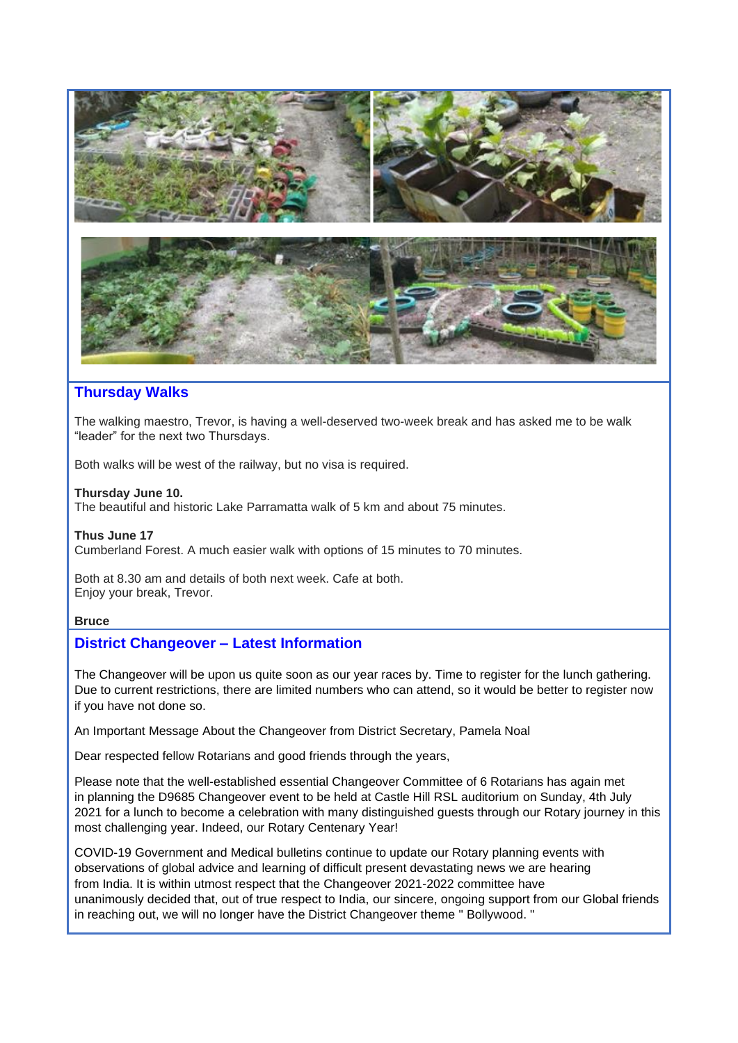

## **Thursday Walks**

The walking maestro, Trevor, is having a well-deserved two-week break and has asked me to be walk "leader" for the next two Thursdays.

Both walks will be west of the railway, but no visa is required.

#### **Thursday June 10.**

The beautiful and historic Lake Parramatta walk of 5 km and about 75 minutes.

## **Thus June 17**

Cumberland Forest. A much easier walk with options of 15 minutes to 70 minutes.

Both at 8.30 am and details of both next week. Cafe at both. Enjoy your break, Trevor.

## **Bruce**

## **District Changeover – Latest Information**

The Changeover will be upon us quite soon as our year races by. Time to register for the lunch gathering. Due to current restrictions, there are limited numbers who can attend, so it would be better to register now if you have not done so.

An Important Message About the Changeover from District Secretary, Pamela Noal

Dear respected fellow Rotarians and good friends through the years,

Please note that the well-established essential Changeover Committee of 6 Rotarians has again met in planning the D9685 Changeover event to be held at Castle Hill RSL auditorium on Sunday, 4th July 2021 for a lunch to become a celebration with many distinguished guests through our Rotary journey in this most challenging year. Indeed, our Rotary Centenary Year!

COVID-19 Government and Medical bulletins continue to update our Rotary planning events with observations of global advice and learning of difficult present devastating news we are hearing from India. It is within utmost respect that the Changeover 2021-2022 committee have unanimously decided that, out of true respect to India, our sincere, ongoing support from our Global friends in reaching out, we will no longer have the District Changeover theme " Bollywood. "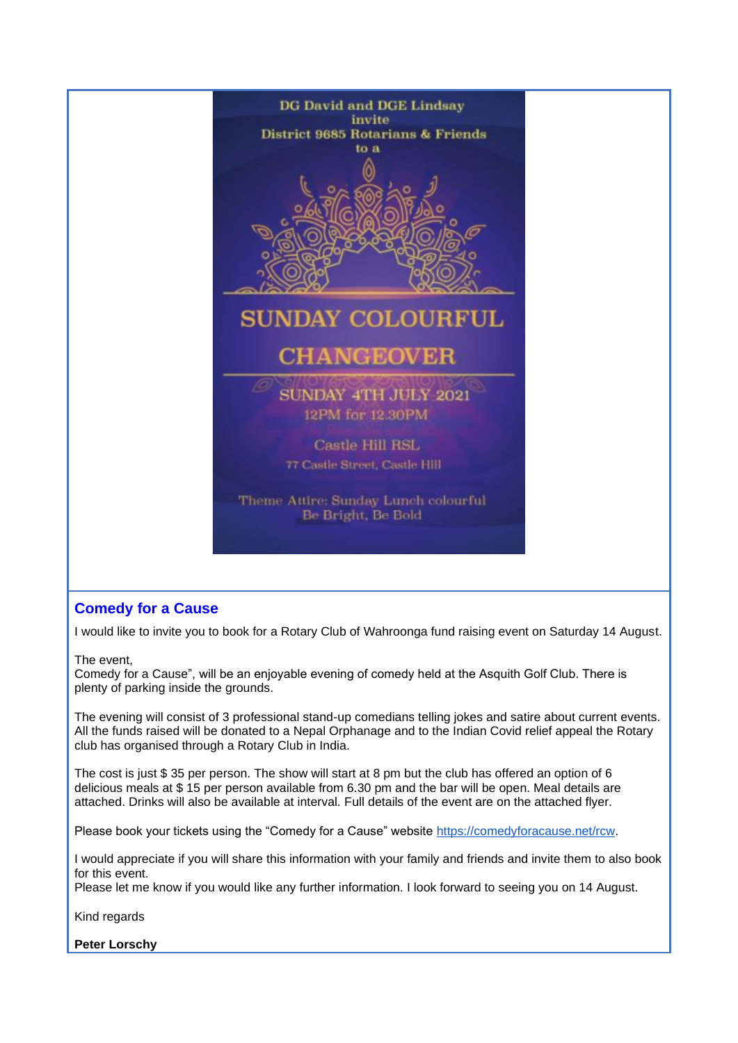

## **Comedy for a Cause**

I would like to invite you to book for a Rotary Club of Wahroonga fund raising event on Saturday 14 August.

The event,

Comedy for a Cause", will be an enjoyable evening of comedy held at the Asquith Golf Club. There is plenty of parking inside the grounds.

The evening will consist of 3 professional stand-up comedians telling jokes and satire about current events. All the funds raised will be donated to a Nepal Orphanage and to the Indian Covid relief appeal the Rotary club has organised through a Rotary Club in India.

The cost is just \$ 35 per person. The show will start at 8 pm but the club has offered an option of 6 delicious meals at \$ 15 per person available from 6.30 pm and the bar will be open. Meal details are attached. Drinks will also be available at interval. Full details of the event are on the attached flyer.

Please book your tickets using the "Comedy for a Cause" website [https://comedyforacause.net/rcw.](https://comedyforacause.net/rcw)

I would appreciate if you will share this information with your family and friends and invite them to also book for this event.

Please let me know if you would like any further information. I look forward to seeing you on 14 August.

Kind regards

**Peter Lorschy**